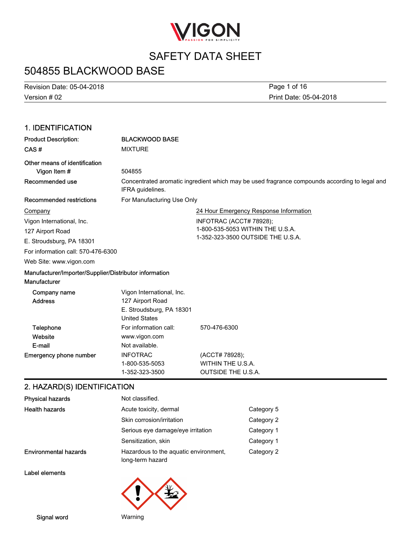

# 504855 BLACKWOOD BASE

Version # 02 Revision Date: 05-04-2018 Print Date: 05-04-2018 Page 1 of 16

### 1. IDENTIFICATION

| <b>BLACKWOOD BASE</b>                                                                             |                                                                                                                            |
|---------------------------------------------------------------------------------------------------|----------------------------------------------------------------------------------------------------------------------------|
| <b>MIXTURE</b>                                                                                    |                                                                                                                            |
| 504855                                                                                            |                                                                                                                            |
| IFRA guidelines.                                                                                  | Concentrated aromatic ingredient which may be used fragrance compounds according to legal and                              |
| For Manufacturing Use Only                                                                        |                                                                                                                            |
|                                                                                                   | 24 Hour Emergency Response Information                                                                                     |
|                                                                                                   | INFOTRAC (ACCT# 78928);                                                                                                    |
|                                                                                                   | 1-800-535-5053 WITHIN THE U.S.A.                                                                                           |
|                                                                                                   | 1-352-323-3500 OUTSIDE THE U.S.A.                                                                                          |
|                                                                                                   |                                                                                                                            |
|                                                                                                   |                                                                                                                            |
|                                                                                                   |                                                                                                                            |
| Vigon International, Inc.<br>127 Airport Road<br>E. Stroudsburg, PA 18301<br><b>United States</b> |                                                                                                                            |
| For information call:<br>www.vigon.com<br>Not available.                                          | 570-476-6300                                                                                                               |
| <b>INFOTRAC</b><br>1-800-535-5053<br>1-352-323-3500                                               | (ACCT# 78928);<br>WITHIN THE U.S.A.<br><b>OUTSIDE THE U.S.A.</b>                                                           |
|                                                                                                   | For information call: 570-476-6300<br>Manufacturer/Importer/Supplier/Distributor information<br>O UAZADO/OVIDENTIFICATIONI |

#### 2. HAZARD(S) IDENTIFICATION

| <b>Physical hazards</b>      | Not classified.                                           |            |
|------------------------------|-----------------------------------------------------------|------------|
| <b>Health hazards</b>        | Acute toxicity, dermal                                    | Category 5 |
|                              | Skin corrosion/irritation                                 | Category 2 |
|                              | Serious eye damage/eye irritation                         | Category 1 |
|                              | Sensitization, skin                                       | Category 1 |
| <b>Environmental hazards</b> | Hazardous to the aquatic environment,<br>long-term hazard | Category 2 |

Label elements



Signal word Warning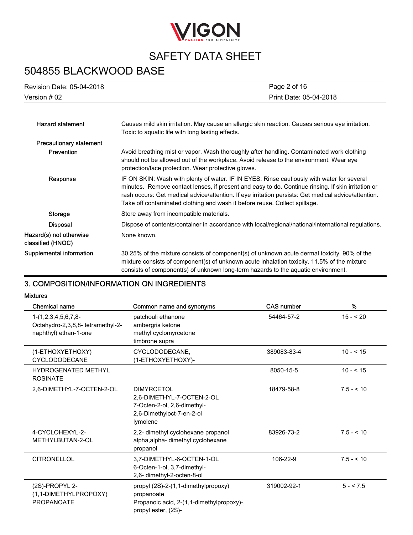

# 504855 BLACKWOOD BASE

| <b>Revision Date: 05-04-2018</b> | Page 2 of 16           |
|----------------------------------|------------------------|
| Version # 02                     | Print Date: 05-04-2018 |
|                                  |                        |

| <b>Hazard statement</b>                      | Causes mild skin irritation. May cause an allergic skin reaction. Causes serious eye irritation.<br>Toxic to aquatic life with long lasting effects.                                                                                                                                                                                                                                   |
|----------------------------------------------|----------------------------------------------------------------------------------------------------------------------------------------------------------------------------------------------------------------------------------------------------------------------------------------------------------------------------------------------------------------------------------------|
| <b>Precautionary statement</b>               |                                                                                                                                                                                                                                                                                                                                                                                        |
| Prevention                                   | Avoid breathing mist or vapor. Wash thoroughly after handling. Contaminated work clothing<br>should not be allowed out of the workplace. Avoid release to the environment. Wear eye<br>protection/face protection. Wear protective gloves.                                                                                                                                             |
| Response                                     | IF ON SKIN: Wash with plenty of water. IF IN EYES: Rinse cautiously with water for several<br>minutes. Remove contact lenses, if present and easy to do. Continue rinsing. If skin irritation or<br>rash occurs: Get medical advice/attention. If eye irritation persists: Get medical advice/attention.<br>Take off contaminated clothing and wash it before reuse. Collect spillage. |
| Storage                                      | Store away from incompatible materials.                                                                                                                                                                                                                                                                                                                                                |
| <b>Disposal</b>                              | Dispose of contents/container in accordance with local/regional/national/international regulations.                                                                                                                                                                                                                                                                                    |
| Hazard(s) not otherwise<br>classified (HNOC) | None known.                                                                                                                                                                                                                                                                                                                                                                            |
| Supplemental information                     | 30.25% of the mixture consists of component(s) of unknown acute dermal toxicity. 90% of the<br>mixture consists of component(s) of unknown acute inhalation toxicity. 11.5% of the mixture<br>consists of component(s) of unknown long-term hazards to the aquatic environment.                                                                                                        |

### 3. COMPOSITION/INFORMATION ON INGREDIENTS

#### Mixtures

| Chemical name                                                                       | Common name and synonyms                                                                                               | <b>CAS number</b> | %          |
|-------------------------------------------------------------------------------------|------------------------------------------------------------------------------------------------------------------------|-------------------|------------|
| $1-(1,2,3,4,5,6,7,8-$<br>Octahydro-2,3,8,8- tetramethyl-2-<br>naphthyl) ethan-1-one | patchouli ethanone<br>ambergris ketone<br>methyl cyclomyrcetone<br>timbrone supra                                      | 54464-57-2        | $15 - 20$  |
| (1-ETHOXYETHOXY)<br><b>CYCLODODECANE</b>                                            | CYCLODODECANE,<br>(1-ETHOXYETHOXY)-                                                                                    | 389083-83-4       | $10 - 515$ |
| <b>HYDROGENATED METHYL</b><br><b>ROSINATE</b>                                       |                                                                                                                        | 8050-15-5         | $10 - 515$ |
| 2.6-DIMETHYL-7-OCTEN-2-OL                                                           | <b>DIMYRCETOL</b><br>2,6-DIMETHYL-7-OCTEN-2-OL<br>7-Octen-2-ol, 2,6-dimethyl-<br>2,6-Dimethyloct-7-en-2-ol<br>lymolene | 18479-58-8        | $7.5 - 10$ |
| 4-CYCLOHEXYL-2-<br>METHYLBUTAN-2-OL                                                 | 2,2- dimethyl cyclohexane propanol<br>alpha, alpha- dimethyl cyclohexane<br>propanol                                   | 83926-73-2        | $7.5 - 10$ |
| <b>CITRONELLOL</b>                                                                  | 3,7-DIMETHYL-6-OCTEN-1-OL<br>6-Octen-1-ol, 3,7-dimethyl-<br>2,6- dimethyl-2-octen-8-ol                                 | 106-22-9          | $7.5 - 10$ |
| (2S)-PROPYL 2-<br>(1,1-DIMETHYLPROPOXY)<br><b>PROPANOATE</b>                        | propyl (2S)-2-(1,1-dimethylpropoxy)<br>propanoate<br>Propanoic acid, 2-(1,1-dimethylpropoxy)-,<br>propyl ester, (2S)-  | 319002-92-1       | $5 - 5.5$  |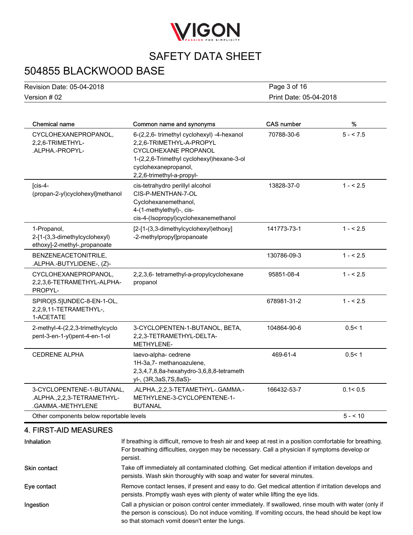

# 504855 BLACKWOOD BASE

| <b>Revision Date: 05-04-2018</b> | Page 3 of 16           |
|----------------------------------|------------------------|
| Version # 02                     | Print Date: 05-04-2018 |

| <b>Chemical name</b>                                                            | Common name and synonyms                                                                                                                                                                         | <b>CAS number</b> | $\%$      |
|---------------------------------------------------------------------------------|--------------------------------------------------------------------------------------------------------------------------------------------------------------------------------------------------|-------------------|-----------|
| CYCLOHEXANEPROPANOL,<br>2,2,6-TRIMETHYL-<br>.ALPHA.-PROPYL-                     | 6-(2,2,6- trimethyl cyclohexyl) -4-hexanol<br>2,2,6-TRIMETHYL-A-PROPYL<br>CYCLOHEXANE PROPANOL<br>1-(2,2,6-Trimethyl cyclohexyl)hexane-3-ol<br>cyclohexanepropanol,<br>2,2,6-trimethyl-a-propyl- | 70788-30-6        | $5 - 7.5$ |
| $\sqrt{\text{cis-4}}$ -<br>(propan-2-yl)cyclohexyl]methanol                     | cis-tetrahydro perillyl alcohol<br>CIS-P-MENTHAN-7-OL<br>Cyclohexanemethanol,<br>4-(1-methylethyl)-, cis-<br>cis-4-(Isopropyl)cyclohexanemethanol                                                | 13828-37-0        | $1 - 5.5$ |
| 1-Propanol,<br>2-[1-(3,3-dimethylcyclohexyl)<br>ethoxy]-2-methyl-,propanoate    | [2-[1-(3,3-dimethylcyclohexyl)ethoxy]<br>-2-methylpropyl]propanoate                                                                                                                              | 141773-73-1       | $1 - 5.5$ |
| BENZENEACETONITRILE,<br>.ALPHA.-BUTYLIDENE-, (Z)-                               |                                                                                                                                                                                                  | 130786-09-3       | $1 - 5.5$ |
| CYCLOHEXANEPROPANOL,<br>2,2,3,6-TETRAMETHYL-ALPHA-<br>PROPYL-                   | 2,2,3,6- tetramethyl-a-propylcyclohexane<br>propanol                                                                                                                                             | 95851-08-4        | $1 - 5.5$ |
| SPIRO[5.5]UNDEC-8-EN-1-OL,<br>2,2,9,11-TETRAMETHYL-,<br>1-ACETATE               |                                                                                                                                                                                                  | 678981-31-2       | $1 - 5.5$ |
| 2-methyl-4-(2,2,3-trimethylcyclo<br>pent-3-en-1-yl)pent-4-en-1-ol               | 3-CYCLOPENTEN-1-BUTANOL, BETA,<br>2,2,3-TETRAMETHYL-DELTA-<br>METHYLENE-                                                                                                                         | 104864-90-6       | 0.5 < 1   |
| <b>CEDRENE ALPHA</b>                                                            | laevo-alpha- cedrene<br>1H-3a,7- methanoazulene,<br>2,3,4,7,8,8a-hexahydro-3,6,8,8-tetrameth<br>yl-, (3R,3aS,7S,8aS)-                                                                            | 469-61-4          | 0.5 < 1   |
| 3-CYCLOPENTENE-1-BUTANAL,<br>.ALPHA., 2, 2, 3-TETRAMETHYL-<br>.GAMMA.-METHYLENE | .ALPHA., 2, 2, 3-TETAMETHYL-. GAMMA.-<br>METHYLENE-3-CYCLOPENTENE-1-<br><b>BUTANAL</b>                                                                                                           | 166432-53-7       | 0.1 < 0.5 |
| Other components below reportable levels                                        |                                                                                                                                                                                                  |                   | $5 - 10$  |

### 4. FIRST-AID MEASURES

| Inhalation          | If breathing is difficult, remove to fresh air and keep at rest in a position comfortable for breathing.<br>For breathing difficulties, oxygen may be necessary. Call a physician if symptoms develop or<br>persist.                                        |
|---------------------|-------------------------------------------------------------------------------------------------------------------------------------------------------------------------------------------------------------------------------------------------------------|
| <b>Skin contact</b> | Take off immediately all contaminated clothing. Get medical attention if irritation develops and<br>persists. Wash skin thoroughly with soap and water for several minutes.                                                                                 |
| Eye contact         | Remove contact lenses, if present and easy to do. Get medical attention if irritation develops and<br>persists. Promptly wash eyes with plenty of water while lifting the eye lids.                                                                         |
| Ingestion           | Call a physician or poison control center immediately. If swallowed, rinse mouth with water (only if<br>the person is conscious). Do not induce vomiting. If vomiting occurs, the head should be kept low<br>so that stomach vomit doesn't enter the lungs. |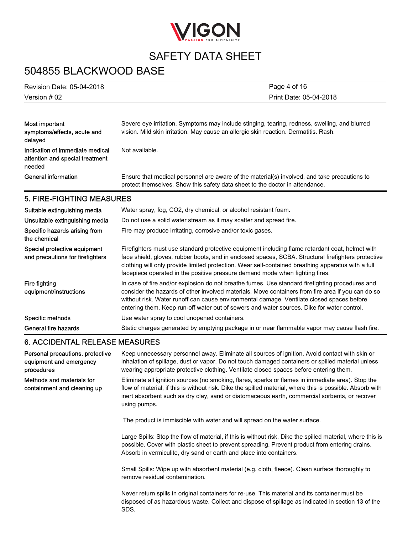

# 504855 BLACKWOOD BASE

| Revision Date: 05-04-2018 | Page 4 of 16           |
|---------------------------|------------------------|
| Version # 02              | Print Date: 05-04-2018 |

| Most important<br>symptoms/effects, acute and<br>delaved                     | Severe eye irritation. Symptoms may include stinging, tearing, redness, swelling, and blurred<br>vision. Mild skin irritation. May cause an allergic skin reaction. Dermatitis. Rash. |
|------------------------------------------------------------------------------|---------------------------------------------------------------------------------------------------------------------------------------------------------------------------------------|
| Indication of immediate medical<br>attention and special treatment<br>needed | Not available.                                                                                                                                                                        |
| General information                                                          | Ensure that medical personnel are aware of the material(s) involved, and take precautions to<br>protect themselves. Show this safety data sheet to the doctor in attendance.          |

### 5. FIRE-FIGHTING MEASURES

| Suitable extinguishing media                                     | Water spray, fog, CO2, dry chemical, or alcohol resistant foam.                                                                                                                                                                                                                                                                                                                                 |
|------------------------------------------------------------------|-------------------------------------------------------------------------------------------------------------------------------------------------------------------------------------------------------------------------------------------------------------------------------------------------------------------------------------------------------------------------------------------------|
| Unsuitable extinguishing media                                   | Do not use a solid water stream as it may scatter and spread fire.                                                                                                                                                                                                                                                                                                                              |
| Specific hazards arising from<br>the chemical                    | Fire may produce irritating, corrosive and/or toxic gases.                                                                                                                                                                                                                                                                                                                                      |
| Special protective equipment<br>and precautions for firefighters | Firefighters must use standard protective equipment including flame retardant coat, helmet with<br>face shield, gloves, rubber boots, and in enclosed spaces, SCBA. Structural firefighters protective<br>clothing will only provide limited protection. Wear self-contained breathing apparatus with a full<br>facepiece operated in the positive pressure demand mode when fighting fires.    |
| Fire fighting<br>equipment/instructions                          | In case of fire and/or explosion do not breathe fumes. Use standard firefighting procedures and<br>consider the hazards of other involved materials. Move containers from fire area if you can do so<br>without risk. Water runoff can cause environmental damage. Ventilate closed spaces before<br>entering them. Keep run-off water out of sewers and water sources. Dike for water control. |
| Specific methods                                                 | Use water spray to cool unopened containers.                                                                                                                                                                                                                                                                                                                                                    |
| General fire hazards                                             | Static charges generated by emptying package in or near flammable vapor may cause flash fire.                                                                                                                                                                                                                                                                                                   |

#### 6. ACCIDENTAL RELEASE MEASURES

| Personal precautions, protective<br>equipment and emergency<br>procedures | Keep unnecessary personnel away. Eliminate all sources of ignition. Avoid contact with skin or<br>inhalation of spillage, dust or vapor. Do not touch damaged containers or spilled material unless<br>wearing appropriate protective clothing. Ventilate closed spaces before entering them.                                   |
|---------------------------------------------------------------------------|---------------------------------------------------------------------------------------------------------------------------------------------------------------------------------------------------------------------------------------------------------------------------------------------------------------------------------|
| Methods and materials for<br>containment and cleaning up                  | Eliminate all ignition sources (no smoking, flares, sparks or flames in immediate area). Stop the<br>flow of material, if this is without risk. Dike the spilled material, where this is possible. Absorb with<br>inert absorbent such as dry clay, sand or diatomaceous earth, commercial sorbents, or recover<br>using pumps. |
|                                                                           | The product is immiscible with water and will spread on the water surface.                                                                                                                                                                                                                                                      |
|                                                                           | Large Spills: Stop the flow of material, if this is without risk. Dike the spilled material, where this is<br>possible. Cover with plastic sheet to prevent spreading. Prevent product from entering drains.<br>Absorb in vermiculite, dry sand or earth and place into containers.                                             |
|                                                                           | Small Spills: Wipe up with absorbent material (e.g. cloth, fleece). Clean surface thoroughly to<br>remove residual contamination.                                                                                                                                                                                               |
|                                                                           | Never return spills in original containers for re-use. This material and its container must be<br>disposed of as hazardous waste. Collect and dispose of spillage as indicated in section 13 of the<br>SDS.                                                                                                                     |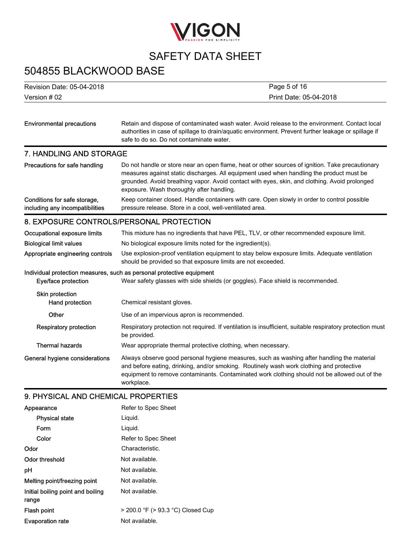

### 504855 BLACKWOOD BASE

Version # 02 Revision Date: 05-04-2018 Print Date: 05-04-2018 Page 5 of 16

| <b>Environmental precautions</b> | Retain and dispose of contaminated wash water. Avoid release to the environment. Contact local<br>authorities in case of spillage to drain/aquatic environment. Prevent further leakage or spillage if<br>safe to do so. Do not contaminate water.                                                                                         |  |  |  |
|----------------------------------|--------------------------------------------------------------------------------------------------------------------------------------------------------------------------------------------------------------------------------------------------------------------------------------------------------------------------------------------|--|--|--|
| 7. HANDLING AND STORAGE          |                                                                                                                                                                                                                                                                                                                                            |  |  |  |
| Precautions for safe handling    | Do not handle or store near an open flame, heat or other sources of ignition. Take precautionary<br>measures against static discharges. All equipment used when handling the product must be<br>grounded. Avoid breathing vapor. Avoid contact with eyes, skin, and clothing. Avoid prolonged<br>exposure. Wash thoroughly after handling. |  |  |  |

Keep container closed. Handle containers with care. Open slowly in order to control possible pressure release. Store in a cool, well-ventilated area. Conditions for safe storage, including any incompatibilities

#### 8. EXPOSURE CONTROLS/PERSONAL PROTECTION

| Occupational exposure limits                                          | This mixture has no ingredients that have PEL, TLV, or other recommended exposure limit.                                                                                                                                                                                                              |  |  |  |
|-----------------------------------------------------------------------|-------------------------------------------------------------------------------------------------------------------------------------------------------------------------------------------------------------------------------------------------------------------------------------------------------|--|--|--|
| <b>Biological limit values</b>                                        | No biological exposure limits noted for the ingredient(s).                                                                                                                                                                                                                                            |  |  |  |
| Appropriate engineering controls                                      | Use explosion-proof ventilation equipment to stay below exposure limits. Adequate ventilation<br>should be provided so that exposure limits are not exceeded.                                                                                                                                         |  |  |  |
| Individual protection measures, such as personal protective equipment |                                                                                                                                                                                                                                                                                                       |  |  |  |
| Eye/face protection                                                   | Wear safety glasses with side shields (or goggles). Face shield is recommended.                                                                                                                                                                                                                       |  |  |  |
| Skin protection<br>Hand protection                                    | Chemical resistant gloves.                                                                                                                                                                                                                                                                            |  |  |  |
| Other                                                                 | Use of an impervious apron is recommended.                                                                                                                                                                                                                                                            |  |  |  |
| <b>Respiratory protection</b>                                         | Respiratory protection not required. If ventilation is insufficient, suitable respiratory protection must<br>be provided.                                                                                                                                                                             |  |  |  |
| <b>Thermal hazards</b>                                                | Wear appropriate thermal protective clothing, when necessary.                                                                                                                                                                                                                                         |  |  |  |
| General hygiene considerations                                        | Always observe good personal hygiene measures, such as washing after handling the material<br>and before eating, drinking, and/or smoking. Routinely wash work clothing and protective<br>equipment to remove contaminants. Contaminated work clothing should not be allowed out of the<br>workplace. |  |  |  |

### 9. PHYSICAL AND CHEMICAL PROPERTIES

| Refer to Spec Sheet               |
|-----------------------------------|
| Liquid.                           |
| Liquid.                           |
| Refer to Spec Sheet               |
| Characteristic.                   |
| Not available.                    |
| Not available.                    |
| Not available.                    |
| Not available.                    |
| > 200.0 °F (> 93.3 °C) Closed Cup |
| Not available.                    |
|                                   |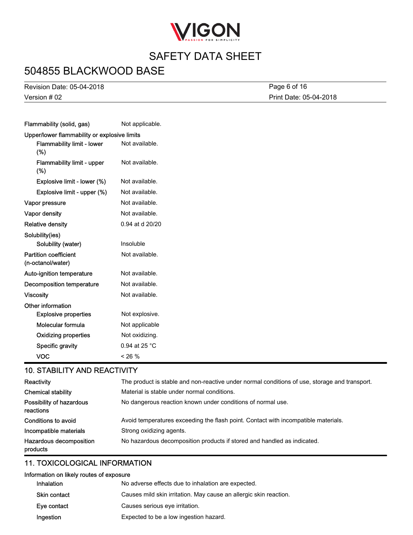

# 504855 BLACKWOOD BASE

Version # 02 Revision Date: 05-04-2018 Print Date: 05-04-2018 Page 6 of 16

| Flammability (solid, gas)                         | Not applicable. |  |  |  |
|---------------------------------------------------|-----------------|--|--|--|
| Upper/lower flammability or explosive limits      |                 |  |  |  |
| Flammability limit - lower<br>$(\%)$              | Not available.  |  |  |  |
| Flammability limit - upper<br>(%)                 | Not available.  |  |  |  |
| Explosive limit - lower (%)                       | Not available.  |  |  |  |
| Explosive limit - upper (%)                       | Not available.  |  |  |  |
| Vapor pressure                                    | Not available.  |  |  |  |
| Vapor density                                     | Not available.  |  |  |  |
| <b>Relative density</b>                           | 0.94 at d 20/20 |  |  |  |
| Solubility(ies)                                   |                 |  |  |  |
| Solubility (water)                                | Insoluble       |  |  |  |
| <b>Partition coefficient</b><br>(n-octanol/water) | Not available.  |  |  |  |
| Auto-ignition temperature                         | Not available.  |  |  |  |
| <b>Decomposition temperature</b>                  | Not available.  |  |  |  |
| <b>Viscosity</b>                                  | Not available.  |  |  |  |
| Other information                                 |                 |  |  |  |
| <b>Explosive properties</b>                       | Not explosive.  |  |  |  |
| Molecular formula                                 | Not applicable  |  |  |  |
| <b>Oxidizing properties</b>                       | Not oxidizing.  |  |  |  |
| Specific gravity                                  | 0.94 at 25 °C   |  |  |  |
| <b>VOC</b>                                        | < 26 %          |  |  |  |

#### 10. STABILITY AND REACTIVITY

| Reactivity                            | The product is stable and non-reactive under normal conditions of use, storage and transport. |  |  |
|---------------------------------------|-----------------------------------------------------------------------------------------------|--|--|
| <b>Chemical stability</b>             | Material is stable under normal conditions.                                                   |  |  |
| Possibility of hazardous<br>reactions | No dangerous reaction known under conditions of normal use.                                   |  |  |
| Conditions to avoid                   | Avoid temperatures exceeding the flash point. Contact with incompatible materials.            |  |  |
| Incompatible materials                | Strong oxidizing agents.                                                                      |  |  |
| Hazardous decomposition<br>products   | No hazardous decomposition products if stored and handled as indicated.                       |  |  |

#### 11. TOXICOLOGICAL INFORMATION

#### Information on likely routes of exposure

| <b>Inhalation</b>   | No adverse effects due to inhalation are expected.                |
|---------------------|-------------------------------------------------------------------|
| <b>Skin contact</b> | Causes mild skin irritation. May cause an allergic skin reaction. |
| Eye contact         | Causes serious eye irritation.                                    |
| Ingestion           | Expected to be a low ingestion hazard.                            |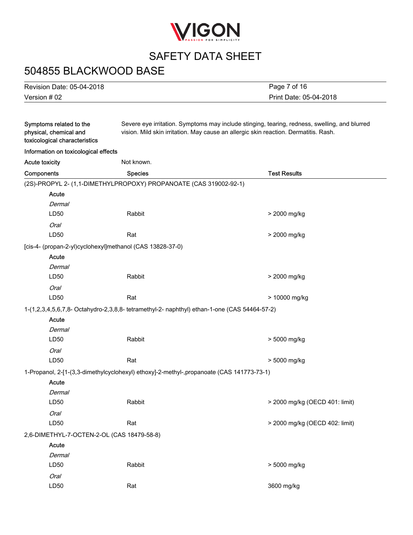

# 504855 BLACKWOOD BASE

Version # 02 Revision Date: 05-04-2018 Print Date: 05-04-2018 Page 7 of 16

| Symptoms related to the<br>physical, chemical and<br>toxicological characteristics           | Severe eye irritation. Symptoms may include stinging, tearing, redness, swelling, and blurred<br>vision. Mild skin irritation. May cause an allergic skin reaction. Dermatitis. Rash. |                                |  |
|----------------------------------------------------------------------------------------------|---------------------------------------------------------------------------------------------------------------------------------------------------------------------------------------|--------------------------------|--|
| Information on toxicological effects                                                         |                                                                                                                                                                                       |                                |  |
| Not known.<br><b>Acute toxicity</b>                                                          |                                                                                                                                                                                       |                                |  |
| Components                                                                                   | <b>Species</b>                                                                                                                                                                        | <b>Test Results</b>            |  |
| (2S)-PROPYL 2- (1,1-DIMETHYLPROPOXY) PROPANOATE (CAS 319002-92-1)                            |                                                                                                                                                                                       |                                |  |
| Acute                                                                                        |                                                                                                                                                                                       |                                |  |
| Dermal                                                                                       |                                                                                                                                                                                       |                                |  |
| LD50                                                                                         | Rabbit                                                                                                                                                                                | > 2000 mg/kg                   |  |
| <b>Oral</b>                                                                                  |                                                                                                                                                                                       |                                |  |
| LD50                                                                                         | Rat                                                                                                                                                                                   | > 2000 mg/kg                   |  |
| [cis-4- (propan-2-yl)cyclohexyl]methanol (CAS 13828-37-0)                                    |                                                                                                                                                                                       |                                |  |
| Acute                                                                                        |                                                                                                                                                                                       |                                |  |
| <b>Dermal</b>                                                                                |                                                                                                                                                                                       |                                |  |
| LD50                                                                                         | Rabbit                                                                                                                                                                                | > 2000 mg/kg                   |  |
| <b>Oral</b>                                                                                  |                                                                                                                                                                                       |                                |  |
| LD50                                                                                         | Rat                                                                                                                                                                                   | > 10000 mg/kg                  |  |
| 1-(1,2,3,4,5,6,7,8- Octahydro-2,3,8,8- tetramethyl-2- naphthyl) ethan-1-one (CAS 54464-57-2) |                                                                                                                                                                                       |                                |  |
| Acute                                                                                        |                                                                                                                                                                                       |                                |  |
| Dermal                                                                                       |                                                                                                                                                                                       |                                |  |
| LD50                                                                                         | Rabbit                                                                                                                                                                                | > 5000 mg/kg                   |  |
| Oral                                                                                         |                                                                                                                                                                                       |                                |  |
| LD50                                                                                         | Rat                                                                                                                                                                                   | > 5000 mg/kg                   |  |
| 1-Propanol, 2-[1-(3,3-dimethylcyclohexyl) ethoxy]-2-methyl-,propanoate (CAS 141773-73-1)     |                                                                                                                                                                                       |                                |  |
| Acute                                                                                        |                                                                                                                                                                                       |                                |  |
| Dermal                                                                                       |                                                                                                                                                                                       |                                |  |
| LD50                                                                                         | Rabbit                                                                                                                                                                                | > 2000 mg/kg (OECD 401: limit) |  |
| <b>Oral</b>                                                                                  |                                                                                                                                                                                       |                                |  |
| LD50                                                                                         | Rat                                                                                                                                                                                   | > 2000 mg/kg (OECD 402: limit) |  |
| 2,6-DIMETHYL-7-OCTEN-2-OL (CAS 18479-58-8)                                                   |                                                                                                                                                                                       |                                |  |
| Acute                                                                                        |                                                                                                                                                                                       |                                |  |
| Dermal                                                                                       |                                                                                                                                                                                       |                                |  |
| LD50                                                                                         | Rabbit                                                                                                                                                                                | > 5000 mg/kg                   |  |
| Oral                                                                                         |                                                                                                                                                                                       |                                |  |
| LD50                                                                                         | Rat                                                                                                                                                                                   | 3600 mg/kg                     |  |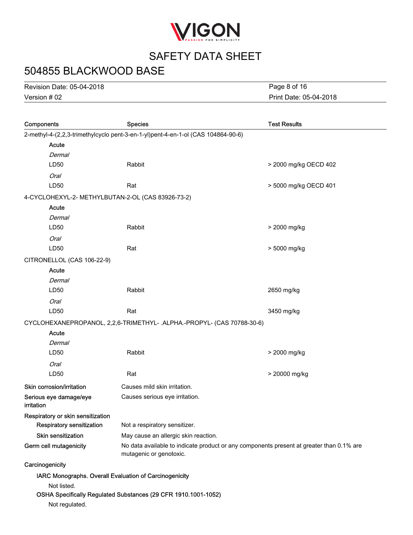

# 504855 BLACKWOOD BASE

Version # 02 Revision Date: 05-04-2018 Print Date: 05-04-2018 Page 8 of 16

| Components                                                                       | <b>Species</b>                                                                                                      | <b>Test Results</b>   |  |  |
|----------------------------------------------------------------------------------|---------------------------------------------------------------------------------------------------------------------|-----------------------|--|--|
| 2-methyl-4-(2,2,3-trimethylcyclo pent-3-en-1-yl)pent-4-en-1-ol (CAS 104864-90-6) |                                                                                                                     |                       |  |  |
| Acute                                                                            |                                                                                                                     |                       |  |  |
| <b>Dermal</b>                                                                    |                                                                                                                     |                       |  |  |
| LD50                                                                             | Rabbit                                                                                                              | > 2000 mg/kg OECD 402 |  |  |
| <b>Oral</b>                                                                      |                                                                                                                     |                       |  |  |
| LD50                                                                             | Rat                                                                                                                 | > 5000 mg/kg OECD 401 |  |  |
| 4-CYCLOHEXYL-2- METHYLBUTAN-2-OL (CAS 83926-73-2)                                |                                                                                                                     |                       |  |  |
| Acute                                                                            |                                                                                                                     |                       |  |  |
| <b>Dermal</b>                                                                    |                                                                                                                     |                       |  |  |
| LD50                                                                             | Rabbit                                                                                                              | > 2000 mg/kg          |  |  |
| <b>Oral</b>                                                                      |                                                                                                                     |                       |  |  |
| LD50                                                                             | Rat                                                                                                                 | > 5000 mg/kg          |  |  |
| CITRONELLOL (CAS 106-22-9)                                                       |                                                                                                                     |                       |  |  |
| Acute                                                                            |                                                                                                                     |                       |  |  |
| Dermal                                                                           |                                                                                                                     |                       |  |  |
| LD50                                                                             | Rabbit                                                                                                              | 2650 mg/kg            |  |  |
| <b>Oral</b>                                                                      |                                                                                                                     |                       |  |  |
| LD50                                                                             | Rat                                                                                                                 | 3450 mg/kg            |  |  |
| CYCLOHEXANEPROPANOL, 2,2,6-TRIMETHYL- .ALPHA.-PROPYL- (CAS 70788-30-6)           |                                                                                                                     |                       |  |  |
| Acute                                                                            |                                                                                                                     |                       |  |  |
| <b>Dermal</b>                                                                    |                                                                                                                     |                       |  |  |
| LD50                                                                             | Rabbit                                                                                                              | > 2000 mg/kg          |  |  |
| <b>Oral</b>                                                                      |                                                                                                                     |                       |  |  |
| LD50                                                                             | Rat                                                                                                                 | > 20000 mg/kg         |  |  |
| Skin corrosion/irritation                                                        | Causes mild skin irritation.                                                                                        |                       |  |  |
| Serious eye damage/eye<br>irritation                                             | Causes serious eye irritation.                                                                                      |                       |  |  |
| Respiratory or skin sensitization                                                |                                                                                                                     |                       |  |  |
| Respiratory sensitization                                                        | Not a respiratory sensitizer.                                                                                       |                       |  |  |
| <b>Skin sensitization</b>                                                        | May cause an allergic skin reaction.                                                                                |                       |  |  |
| Germ cell mutagenicity                                                           | No data available to indicate product or any components present at greater than 0.1% are<br>mutagenic or genotoxic. |                       |  |  |
| Carcinogenicity                                                                  |                                                                                                                     |                       |  |  |
| IARC Monographs. Overall Evaluation of Carcinogenicity                           |                                                                                                                     |                       |  |  |
| Not listed.                                                                      |                                                                                                                     |                       |  |  |
|                                                                                  | OSHA Specifically Regulated Substances (29 CFR 1910.1001-1052)                                                      |                       |  |  |

Not regulated.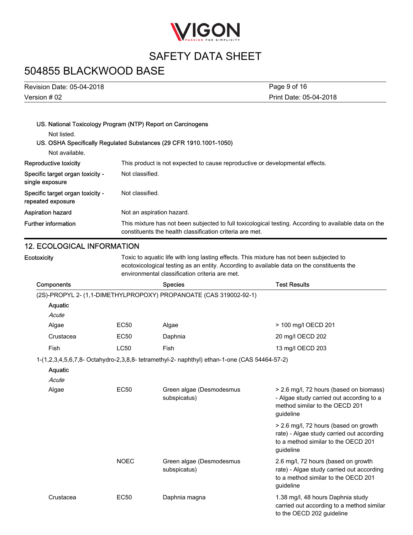

### 504855 BLACKWOOD BASE

Version # 02 Revision Date: 05-04-2018 Print Date: 05-04-2018 Page 9 of 16

### US. National Toxicology Program (NTP) Report on Carcinogens

Not listed.

### US. OSHA Specifically Regulated Substances (29 CFR 1910.1001-1050)

| Not available.                                        |                                                                                                                                                                   |
|-------------------------------------------------------|-------------------------------------------------------------------------------------------------------------------------------------------------------------------|
| Reproductive toxicity                                 | This product is not expected to cause reproductive or developmental effects.                                                                                      |
| Specific target organ toxicity -<br>single exposure   | Not classified.                                                                                                                                                   |
| Specific target organ toxicity -<br>repeated exposure | Not classified.                                                                                                                                                   |
| Aspiration hazard                                     | Not an aspiration hazard.                                                                                                                                         |
| <b>Further information</b>                            | This mixture has not been subjected to full toxicological testing. According to available data on the<br>constituents the health classification criteria are met. |

### 12. ECOLOGICAL INFORMATION

| <b>Ecotoxicity</b> |             | Toxic to aquatic life with long lasting effects. This mixture has not been subjected to<br>ecotoxicological testing as an entity. According to available data on the constituents the<br>environmental classification criteria are met. |                                                                                                                                        |  |  |
|--------------------|-------------|-----------------------------------------------------------------------------------------------------------------------------------------------------------------------------------------------------------------------------------------|----------------------------------------------------------------------------------------------------------------------------------------|--|--|
| Components         |             | <b>Species</b>                                                                                                                                                                                                                          | <b>Test Results</b>                                                                                                                    |  |  |
|                    |             | (2S)-PROPYL 2- (1,1-DIMETHYLPROPOXY) PROPANOATE (CAS 319002-92-1)                                                                                                                                                                       |                                                                                                                                        |  |  |
| Aquatic            |             |                                                                                                                                                                                                                                         |                                                                                                                                        |  |  |
| Acute              |             |                                                                                                                                                                                                                                         |                                                                                                                                        |  |  |
| Algae              | <b>EC50</b> | Algae                                                                                                                                                                                                                                   | > 100 mg/l OECD 201                                                                                                                    |  |  |
| Crustacea          | EC50        | Daphnia                                                                                                                                                                                                                                 | 20 mg/l OECD 202                                                                                                                       |  |  |
| Fish               | <b>LC50</b> | Fish                                                                                                                                                                                                                                    | 13 mg/l OECD 203                                                                                                                       |  |  |
|                    |             | 1-(1,2,3,4,5,6,7,8- Octahydro-2,3,8,8- tetramethyl-2- naphthyl) ethan-1-one (CAS 54464-57-2)                                                                                                                                            |                                                                                                                                        |  |  |
| Aquatic<br>Acute   |             |                                                                                                                                                                                                                                         |                                                                                                                                        |  |  |
| Algae              | <b>EC50</b> | Green algae (Desmodesmus<br>subspicatus)                                                                                                                                                                                                | > 2.6 mg/l, 72 hours (based on biomass)<br>- Algae study carried out according to a<br>method similar to the OECD 201<br>guideline     |  |  |
|                    |             |                                                                                                                                                                                                                                         | > 2.6 mg/l, 72 hours (based on growth<br>rate) - Algae study carried out according<br>to a method similar to the OECD 201<br>guideline |  |  |
|                    | <b>NOEC</b> | Green algae (Desmodesmus<br>subspicatus)                                                                                                                                                                                                | 2.6 mg/l, 72 hours (based on growth<br>rate) - Algae study carried out according<br>to a method similar to the OECD 201<br>guideline   |  |  |
| Crustacea          | EC50        | Daphnia magna                                                                                                                                                                                                                           | 1.38 mg/l, 48 hours Daphnia study<br>carried out according to a method similar<br>to the OECD 202 guideline                            |  |  |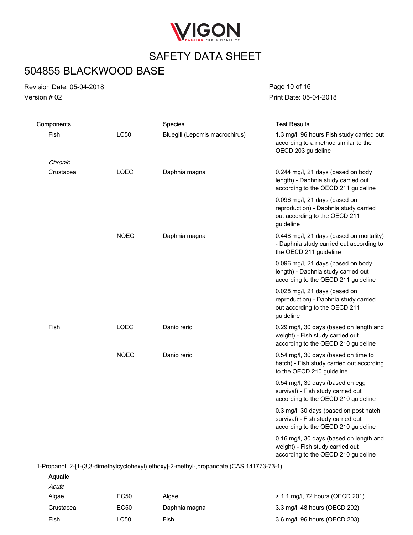

# 504855 BLACKWOOD BASE

Version # 02 Revision Date: 05-04-2018 Print Date: 05-04-2018 Page 10 of 16

| Components     |             | <b>Species</b>                                                                           | <b>Test Results</b>                                                                                                  |
|----------------|-------------|------------------------------------------------------------------------------------------|----------------------------------------------------------------------------------------------------------------------|
| Fish           | <b>LC50</b> | Bluegill (Lepomis macrochirus)                                                           | 1.3 mg/l, 96 hours Fish study carried out<br>according to a method similar to the<br>OECD 203 guideline              |
| Chronic        |             |                                                                                          |                                                                                                                      |
| Crustacea      | LOEC        | Daphnia magna                                                                            | 0.244 mg/l, 21 days (based on body<br>length) - Daphnia study carried out<br>according to the OECD 211 guideline     |
|                |             |                                                                                          | 0.096 mg/l, 21 days (based on<br>reproduction) - Daphnia study carried<br>out according to the OECD 211<br>guideline |
|                | <b>NOEC</b> | Daphnia magna                                                                            | 0.448 mg/l, 21 days (based on mortality)<br>- Daphnia study carried out according to<br>the OECD 211 guideline       |
|                |             |                                                                                          | 0.096 mg/l, 21 days (based on body<br>length) - Daphnia study carried out<br>according to the OECD 211 guideline     |
|                |             |                                                                                          | 0.028 mg/l, 21 days (based on<br>reproduction) - Daphnia study carried<br>out according to the OECD 211<br>guideline |
| Fish           | LOEC        | Danio rerio                                                                              | 0.29 mg/l, 30 days (based on length and<br>weight) - Fish study carried out<br>according to the OECD 210 guideline   |
|                | <b>NOEC</b> | Danio rerio                                                                              | 0.54 mg/l, 30 days (based on time to<br>hatch) - Fish study carried out according<br>to the OECD 210 guideline       |
|                |             |                                                                                          | 0.54 mg/l, 30 days (based on egg<br>survival) - Fish study carried out<br>according to the OECD 210 guideline        |
|                |             |                                                                                          | 0.3 mg/l, 30 days (based on post hatch<br>survival) - Fish study carried out<br>according to the OECD 210 guideline  |
|                |             |                                                                                          | 0.16 mg/l, 30 days (based on length and<br>weight) - Fish study carried out<br>according to the OECD 210 guideline   |
|                |             | 1-Propanol, 2-[1-(3,3-dimethylcyclohexyl) ethoxy]-2-methyl-,propanoate (CAS 141773-73-1) |                                                                                                                      |
| <b>Aquatic</b> |             |                                                                                          |                                                                                                                      |
| Acute          |             |                                                                                          |                                                                                                                      |
|                |             |                                                                                          |                                                                                                                      |

| Algae     | EC50 | Algae         | > 1.1 mg/l, 72 hours (OECD 201) |
|-----------|------|---------------|---------------------------------|
| Crustacea | EC50 | Daphnia magna | 3.3 mg/l, 48 hours (OECD 202)   |
| Fish      | LC50 | Fish          | 3.6 mg/l, 96 hours (OECD 203)   |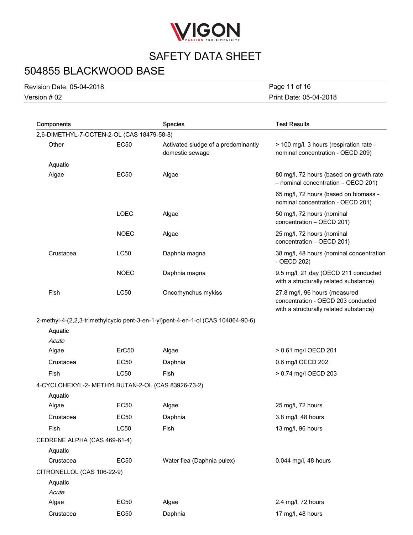

# 504855 BLACKWOOD BASE

Version # 02 Revision Date: 05-04-2018 Print Date: 05-04-2018 Page 11 of 16

|                              | <b>Species</b>                                         | <b>Test Results</b>                                                                                                                                                                          |
|------------------------------|--------------------------------------------------------|----------------------------------------------------------------------------------------------------------------------------------------------------------------------------------------------|
|                              |                                                        |                                                                                                                                                                                              |
| <b>EC50</b>                  | Activated sludge of a predominantly<br>domestic sewage | > 100 mg/l, 3 hours (respiration rate -<br>nominal concentration - OECD 209)                                                                                                                 |
|                              |                                                        |                                                                                                                                                                                              |
| <b>EC50</b>                  | Algae                                                  | 80 mg/l, 72 hours (based on growth rate<br>- nominal concentration - OECD 201)                                                                                                               |
|                              |                                                        | 65 mg/l, 72 hours (based on biomass -<br>nominal concentration - OECD 201)                                                                                                                   |
| <b>LOEC</b>                  | Algae                                                  | 50 mg/l, 72 hours (nominal<br>concentration - OECD 201)                                                                                                                                      |
| <b>NOEC</b>                  | Algae                                                  | 25 mg/l, 72 hours (nominal<br>concentration - OECD 201)                                                                                                                                      |
| <b>LC50</b>                  | Daphnia magna                                          | 38 mg/l, 48 hours (nominal concentration<br>- OECD 202)                                                                                                                                      |
| <b>NOEC</b>                  | Daphnia magna                                          | 9.5 mg/l, 21 day (OECD 211 conducted<br>with a structurally related substance)                                                                                                               |
| <b>LC50</b>                  | Oncorhynchus mykiss                                    | 27.8 mg/l, 96 hours (measured<br>concentration - OECD 203 conducted<br>with a structurally related substance)                                                                                |
|                              |                                                        |                                                                                                                                                                                              |
|                              |                                                        |                                                                                                                                                                                              |
|                              |                                                        |                                                                                                                                                                                              |
| ErC50                        | Algae                                                  | > 0.61 mg/l OECD 201                                                                                                                                                                         |
| EC50                         | Daphnia                                                | 0.6 mg/l OECD 202                                                                                                                                                                            |
| <b>LC50</b>                  | Fish                                                   | > 0.74 mg/l OECD 203                                                                                                                                                                         |
|                              |                                                        |                                                                                                                                                                                              |
|                              |                                                        |                                                                                                                                                                                              |
| <b>EC50</b>                  | Algae                                                  | 25 mg/l, 72 hours                                                                                                                                                                            |
| <b>EC50</b>                  | Daphnia                                                | 3.8 mg/l, 48 hours                                                                                                                                                                           |
| <b>LC50</b>                  | Fish                                                   | 13 mg/l, 96 hours                                                                                                                                                                            |
| CEDRENE ALPHA (CAS 469-61-4) |                                                        |                                                                                                                                                                                              |
|                              |                                                        |                                                                                                                                                                                              |
| <b>EC50</b>                  | Water flea (Daphnia pulex)                             | 0.044 mg/l, 48 hours                                                                                                                                                                         |
| CITRONELLOL (CAS 106-22-9)   |                                                        |                                                                                                                                                                                              |
|                              |                                                        |                                                                                                                                                                                              |
|                              |                                                        |                                                                                                                                                                                              |
|                              |                                                        | 2.4 mg/l, 72 hours                                                                                                                                                                           |
| <b>EC50</b>                  | Daphnia                                                | 17 mg/l, 48 hours                                                                                                                                                                            |
|                              | <b>EC50</b>                                            | 2,6-DIMETHYL-7-OCTEN-2-OL (CAS 18479-58-8)<br>2-methyl-4-(2,2,3-trimethylcyclo pent-3-en-1-yl)pent-4-en-1-ol (CAS 104864-90-6)<br>4-CYCLOHEXYL-2- METHYLBUTAN-2-OL (CAS 83926-73-2)<br>Algae |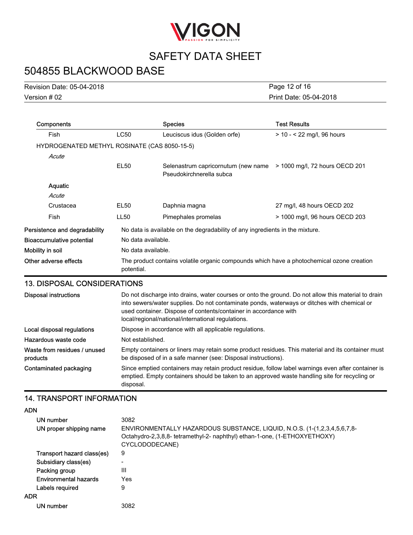

# 504855 BLACKWOOD BASE

| <b>Revision Date: 05-04-2018</b> |  |
|----------------------------------|--|
| Version # 02                     |  |

Print Date: 05-04-2018 Page 12 of 16

| Components                                   |                                                                                                         | <b>Species</b>                                                               | <b>Test Results</b>            |
|----------------------------------------------|---------------------------------------------------------------------------------------------------------|------------------------------------------------------------------------------|--------------------------------|
| <b>Fish</b>                                  | LC50                                                                                                    | Leuciscus idus (Golden orfe)                                                 | $> 10 - 22$ mg/l, 96 hours     |
| HYDROGENATED METHYL ROSINATE (CAS 8050-15-5) |                                                                                                         |                                                                              |                                |
| Acute                                        |                                                                                                         |                                                                              |                                |
|                                              | EL50                                                                                                    | Selenastrum capricornutum (new name<br>Pseudokirchnerella subca              | > 1000 mg/l, 72 hours OECD 201 |
| Aquatic                                      |                                                                                                         |                                                                              |                                |
| Acute                                        |                                                                                                         |                                                                              |                                |
| Crustacea                                    | EL50                                                                                                    | Daphnia magna                                                                | 27 mg/l, 48 hours OECD 202     |
| <b>Fish</b>                                  | LL50                                                                                                    | Pimephales promelas                                                          | > 1000 mg/l, 96 hours OECD 203 |
| Persistence and degradability                |                                                                                                         | No data is available on the degradability of any ingredients in the mixture. |                                |
| Bioaccumulative potential                    | No data available.                                                                                      |                                                                              |                                |
| Mobility in soil                             | No data available.                                                                                      |                                                                              |                                |
| Other adverse effects                        | The product contains volatile organic compounds which have a photochemical ozone creation<br>potential. |                                                                              |                                |

#### 13. DISPOSAL CONSIDERATIONS

| <b>Disposal instructions</b>             | Do not discharge into drains, water courses or onto the ground. Do not allow this material to drain<br>into sewers/water supplies. Do not contaminate ponds, waterways or ditches with chemical or<br>used container. Dispose of contents/container in accordance with<br>local/regional/national/international regulations. |
|------------------------------------------|------------------------------------------------------------------------------------------------------------------------------------------------------------------------------------------------------------------------------------------------------------------------------------------------------------------------------|
| Local disposal regulations               | Dispose in accordance with all applicable regulations.                                                                                                                                                                                                                                                                       |
| Hazardous waste code                     | Not established.                                                                                                                                                                                                                                                                                                             |
| Waste from residues / unused<br>products | Empty containers or liners may retain some product residues. This material and its container must<br>be disposed of in a safe manner (see: Disposal instructions).                                                                                                                                                           |
| Contaminated packaging                   | Since emptied containers may retain product residue, follow label warnings even after container is<br>emptied. Empty containers should be taken to an approved waste handling site for recycling or<br>disposal.                                                                                                             |

### 14. TRANSPORT INFORMATION

ADN

| <b>ADIT</b>                  |                                                                                                                                                                         |
|------------------------------|-------------------------------------------------------------------------------------------------------------------------------------------------------------------------|
| UN number                    | 3082                                                                                                                                                                    |
| UN proper shipping name      | ENVIRONMENTALLY HAZARDOUS SUBSTANCE, LIQUID, N.O.S. (1-(1,2,3,4,5,6,7,8-<br>Octahydro-2,3,8,8- tetramethyl-2- naphthyl) ethan-1-one, (1-ETHOXYETHOXY)<br>CYCLODODECANE) |
| Transport hazard class(es)   | 9                                                                                                                                                                       |
| Subsidiary class(es)         | $\overline{\phantom{0}}$                                                                                                                                                |
| Packing group                | Ш                                                                                                                                                                       |
| <b>Environmental hazards</b> | Yes                                                                                                                                                                     |
| Labels required              | 9                                                                                                                                                                       |
| <b>ADR</b>                   |                                                                                                                                                                         |
| UN number                    | 3082                                                                                                                                                                    |
|                              |                                                                                                                                                                         |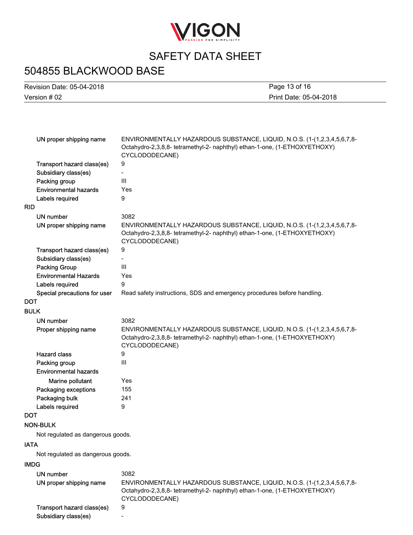

# 504855 BLACKWOOD BASE

| <b>Revision Date: 05-04-2018</b> | Page 13 of 16          |
|----------------------------------|------------------------|
| Version # 02                     | Print Date: 05-04-2018 |

|             | UN proper shipping name           | ENVIRONMENTALLY HAZARDOUS SUBSTANCE, LIQUID, N.O.S. (1-(1,2,3,4,5,6,7,8-<br>Octahydro-2,3,8,8- tetramethyl-2- naphthyl) ethan-1-one, (1-ETHOXYETHOXY)<br>CYCLODODECANE) |
|-------------|-----------------------------------|-------------------------------------------------------------------------------------------------------------------------------------------------------------------------|
|             | Transport hazard class(es)        | 9                                                                                                                                                                       |
|             | Subsidiary class(es)              |                                                                                                                                                                         |
|             | Packing group                     | III                                                                                                                                                                     |
|             | <b>Environmental hazards</b>      | Yes                                                                                                                                                                     |
|             | Labels required                   | 9                                                                                                                                                                       |
| <b>RID</b>  |                                   |                                                                                                                                                                         |
|             | UN number                         | 3082                                                                                                                                                                    |
|             | UN proper shipping name           | ENVIRONMENTALLY HAZARDOUS SUBSTANCE, LIQUID, N.O.S. (1-(1,2,3,4,5,6,7,8-<br>Octahydro-2,3,8,8- tetramethyl-2- naphthyl) ethan-1-one, (1-ETHOXYETHOXY)<br>CYCLODODECANE) |
|             | Transport hazard class(es)        | 9                                                                                                                                                                       |
|             | Subsidiary class(es)              |                                                                                                                                                                         |
|             | <b>Packing Group</b>              | III                                                                                                                                                                     |
|             | <b>Environmental Hazards</b>      | Yes                                                                                                                                                                     |
|             | Labels required                   | 9                                                                                                                                                                       |
|             | Special precautions for user      | Read safety instructions, SDS and emergency procedures before handling.                                                                                                 |
| <b>DOT</b>  |                                   |                                                                                                                                                                         |
| <b>BULK</b> |                                   |                                                                                                                                                                         |
|             | <b>UN number</b>                  | 3082                                                                                                                                                                    |
|             | Proper shipping name              | ENVIRONMENTALLY HAZARDOUS SUBSTANCE, LIQUID, N.O.S. (1-(1,2,3,4,5,6,7,8-<br>Octahydro-2,3,8,8- tetramethyl-2- naphthyl) ethan-1-one, (1-ETHOXYETHOXY)<br>CYCLODODECANE) |
|             | <b>Hazard class</b>               | 9                                                                                                                                                                       |
|             | Packing group                     | III                                                                                                                                                                     |
|             | <b>Environmental hazards</b>      |                                                                                                                                                                         |
|             | Marine pollutant                  | Yes                                                                                                                                                                     |
|             | Packaging exceptions              | 155                                                                                                                                                                     |
|             | Packaging bulk                    | 241                                                                                                                                                                     |
|             | Labels required                   | 9                                                                                                                                                                       |
| <b>DOT</b>  |                                   |                                                                                                                                                                         |
|             | <b>NON-BULK</b>                   |                                                                                                                                                                         |
|             | Not regulated as dangerous goods. |                                                                                                                                                                         |
| <b>IATA</b> |                                   |                                                                                                                                                                         |
|             | Not regulated as dangerous goods. |                                                                                                                                                                         |
| <b>IMDG</b> |                                   |                                                                                                                                                                         |
|             | <b>UN number</b>                  | 3082                                                                                                                                                                    |
|             | UN proper shipping name           | ENVIRONMENTALLY HAZARDOUS SUBSTANCE, LIQUID, N.O.S. (1-(1,2,3,4,5,6,7,8-<br>Octahydro-2,3,8,8- tetramethyl-2- naphthyl) ethan-1-one, (1-ETHOXYETHOXY)<br>CYCLODODECANE) |

Transport hazard class(es) 9

Subsidiary class(es) **-**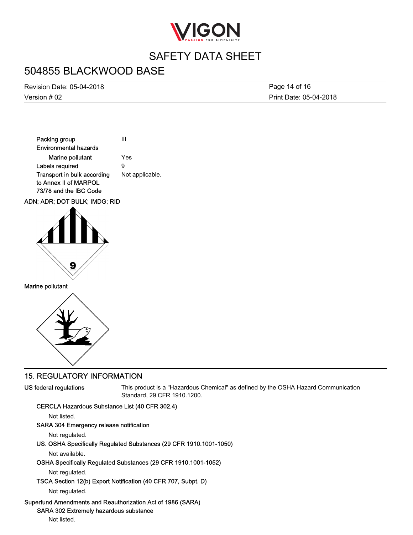

### 504855 BLACKWOOD BASE

Version # 02 Revision Date: 05-04-2018 Print Date: 05-04-2018 Page 14 of 16





Marine pollutant



### 15. REGULATORY INFORMATION

#### US federal regulations

This product is a "Hazardous Chemical" as defined by the OSHA Hazard Communication Standard, 29 CFR 1910.1200.

#### CERCLA Hazardous Substance List (40 CFR 302.4)

Not listed.

#### SARA 304 Emergency release notification

Not regulated.

US. OSHA Specifically Regulated Substances (29 CFR 1910.1001-1050)

Not available.

#### OSHA Specifically Regulated Substances (29 CFR 1910.1001-1052)

Not regulated.

TSCA Section 12(b) Export Notification (40 CFR 707, Subpt. D)

Not regulated.

#### Superfund Amendments and Reauthorization Act of 1986 (SARA)

SARA 302 Extremely hazardous substance

Not listed.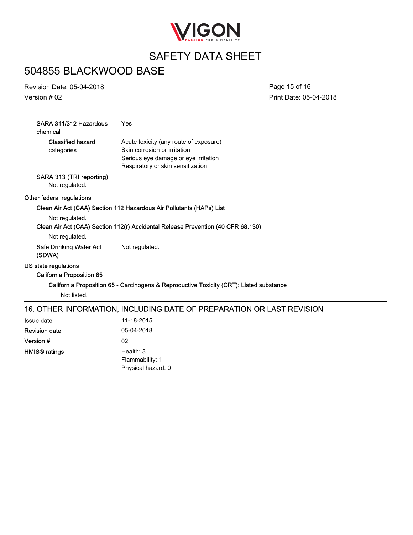

# 504855 BLACKWOOD BASE

Version # 02

HMIS® ratings

Health: 3 Flammability: 1 Physical hazard: 0

| Revision Date: 05-04-2018 | Page 15 of 16          |
|---------------------------|------------------------|
| Version # 02              | Print Date: 05-04-2018 |

| SARA 311/312 Hazardous<br>chemical                       | Yes                                                                                     |  |  |
|----------------------------------------------------------|-----------------------------------------------------------------------------------------|--|--|
| <b>Classified hazard</b><br>categories                   | Acute toxicity (any route of exposure)<br>Skin corrosion or irritation                  |  |  |
|                                                          | Serious eye damage or eye irritation<br>Respiratory or skin sensitization               |  |  |
| SARA 313 (TRI reporting)<br>Not regulated.               |                                                                                         |  |  |
| Other federal regulations                                |                                                                                         |  |  |
|                                                          | Clean Air Act (CAA) Section 112 Hazardous Air Pollutants (HAPs) List                    |  |  |
| Not regulated.                                           |                                                                                         |  |  |
|                                                          | Clean Air Act (CAA) Section 112(r) Accidental Release Prevention (40 CFR 68.130)        |  |  |
| Not regulated.                                           |                                                                                         |  |  |
| Safe Drinking Water Act<br>(SDWA)                        | Not regulated.                                                                          |  |  |
| US state regulations<br><b>California Proposition 65</b> |                                                                                         |  |  |
|                                                          | California Proposition 65 - Carcinogens & Reproductive Toxicity (CRT): Listed substance |  |  |
| Not listed.                                              |                                                                                         |  |  |
|                                                          | 16. OTHER INFORMATION, INCLUDING DATE OF PREPARATION OR LAST REVISION                   |  |  |
| <b>Issue date</b>                                        | 11-18-2015                                                                              |  |  |
| <b>Revision date</b>                                     | 05-04-2018                                                                              |  |  |